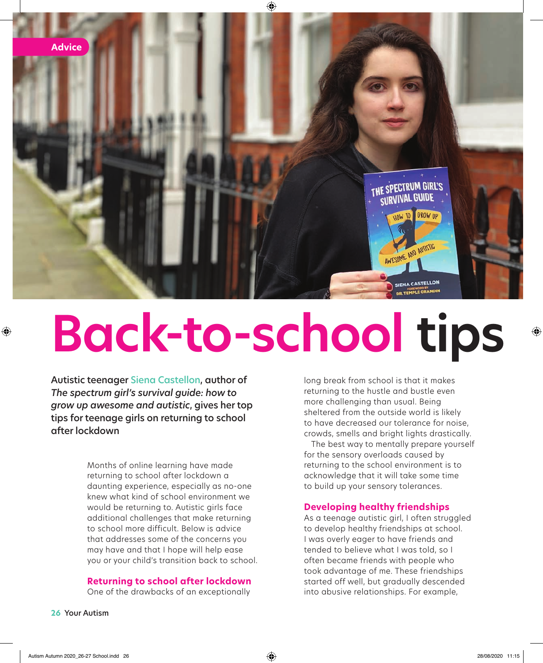

# **Back-to-school tips**

Autistic teenager Siena Castellon, author of *The spectrum girl's survival guide: how to grow up awesome and autistic*, gives her top tips for teenage girls on returning to school after lockdown

> Months of online learning have made returning to school after lockdown a daunting experience, especially as no-one knew what kind of school environment we would be returning to. Autistic girls face additional challenges that make returning to school more difficult. Below is advice that addresses some of the concerns you may have and that I hope will help ease you or your child's transition back to school.

### **Returning to school after lockdown**

One of the drawbacks of an exceptionally

long break from school is that it makes returning to the hustle and bustle even more challenging than usual. Being sheltered from the outside world is likely to have decreased our tolerance for noise, crowds, smells and bright lights drastically.

The best way to mentally prepare yourself for the sensory overloads caused by returning to the school environment is to acknowledge that it will take some time to build up your sensory tolerances.

#### **Developing healthy friendships**

As a teenage autistic girl, I often struggled to develop healthy friendships at school. I was overly eager to have friends and tended to believe what I was told, so I often became friends with people who took advantage of me. These friendships started off well, but gradually descended into abusive relationships. For example,